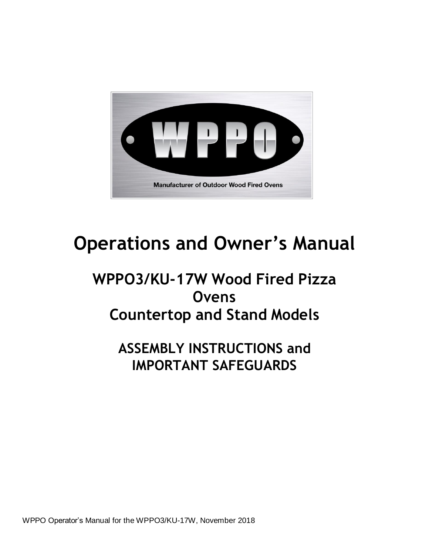

# **Operations and Owner's Manual**

# **WPPO3/KU-17W Wood Fired Pizza Ovens Countertop and Stand Models**

**ASSEMBLY INSTRUCTIONS and IMPORTANT SAFEGUARDS**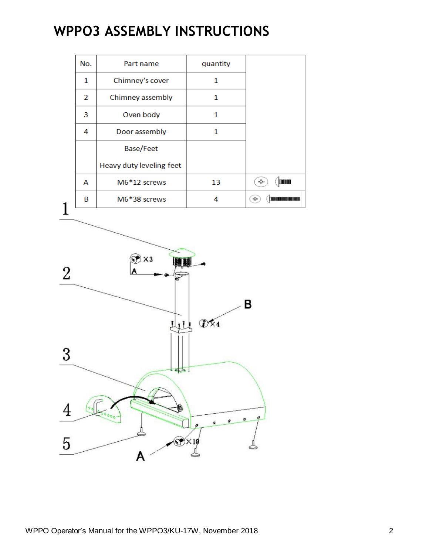# **WPPO3 ASSEMBLY INSTRUCTIONS**

| No. | Part name                | quantity |                   |
|-----|--------------------------|----------|-------------------|
| 1   | Chimney's cover          | 1        |                   |
| 2   | Chimney assembly         | 1        |                   |
| 3   | Oven body                | 1        |                   |
| 4   | Door assembly            | 1        |                   |
|     | <b>Base/Feet</b>         |          |                   |
|     | Heavy duty leveling feet |          |                   |
| A   | M6*12 screws             | 13       | <b>TORON</b><br>♣ |
| B   | M6*38 screws             | 4        | ÷                 |
|     |                          |          |                   |

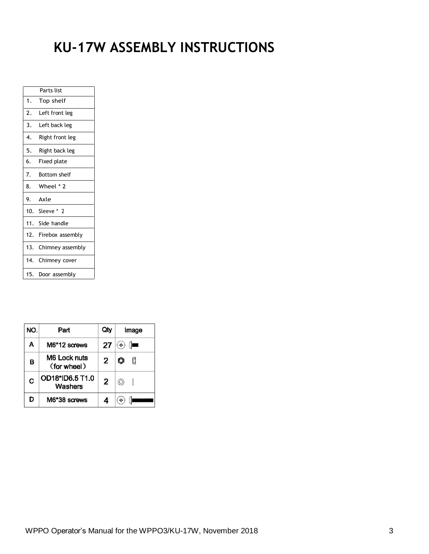# **KU-17W ASSEMBLY INSTRUCTIONS**

|     | Parts list        |
|-----|-------------------|
| 1.  | Top shelf         |
| 2.  | Left front leg    |
| 3.  | Left back leg     |
| 4.  | Right front leg   |
| 5.  | Right back leg    |
| 6.  | Fixed plate       |
| 7.  | Bottom shelf      |
| 8.  | Wheel * 2         |
| 9.  | Axle              |
|     | 10. Sleeve * 2    |
|     | 11. Side handle   |
| 12. | Firebox assembly  |
| 13. | Chimney assembly  |
|     | 14. Chimney cover |
| 15. | Door assembly     |

| NO. | Part                        | Qty            | Image                      |
|-----|-----------------------------|----------------|----------------------------|
| Α   | M6*12 screws                | 27             | $\left(\frac{1}{2}\right)$ |
| В   | M6 Lock nuts<br>(for wheel) | 2              |                            |
| C   | OD18*ID6.5 T1.0<br>Washers  | $\overline{2}$ | (O)                        |
| D   | M6*38 screws                |                |                            |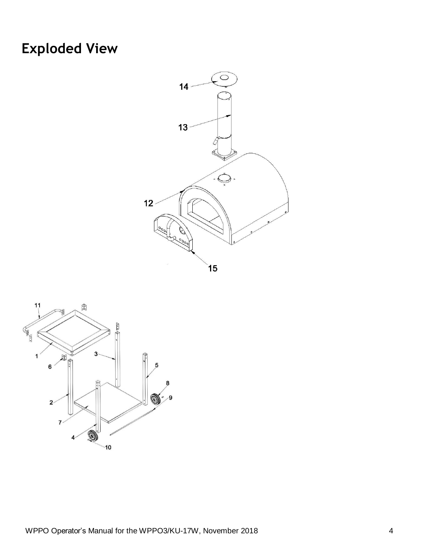# **Exploded View**



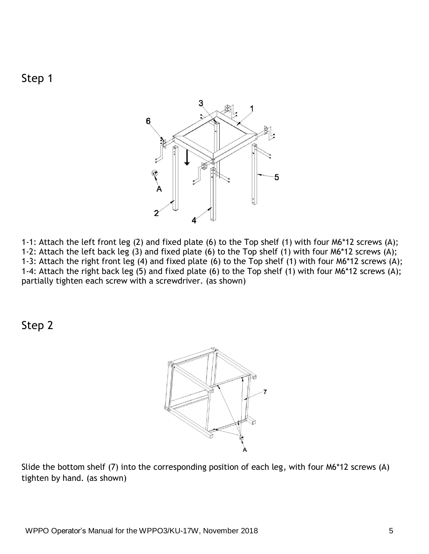



1-1: Attach the left front leg (2) and fixed plate (6) to the Top shelf (1) with four M6\*12 screws (A); 1-2: Attach the left back leg (3) and fixed plate (6) to the Top shelf (1) with four M6\*12 screws (A); 1-3: Attach the right front leg (4) and fixed plate (6) to the Top shelf (1) with four M6\*12 screws (A); 1-4: Attach the right back leg (5) and fixed plate (6) to the Top shelf (1) with four M6\*12 screws (A); partially tighten each screw with a screwdriver. (as shown)

Step 2



Slide the bottom shelf (7) into the corresponding position of each leg, with four M6\*12 screws (A) tighten by hand. (as shown)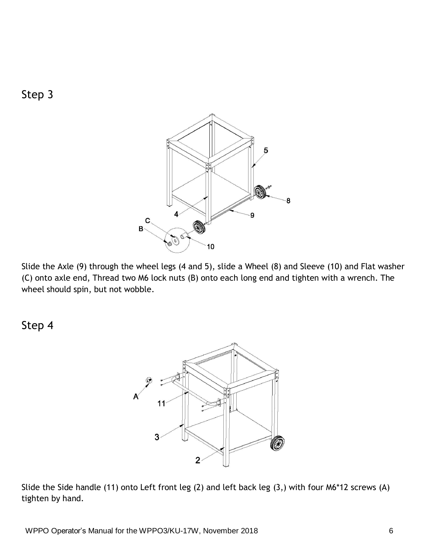

Slide the Axle (9) through the wheel legs (4 and 5), slide a Wheel (8) and Sleeve (10) and Flat washer (C) onto axle end, Thread two M6 lock nuts (B) onto each long end and tighten with a wrench. The wheel should spin, but not wobble.

Step 4

Step 3



Slide the Side handle (11) onto Left front leg (2) and left back leg (3,) with four M6\*12 screws (A) tighten by hand.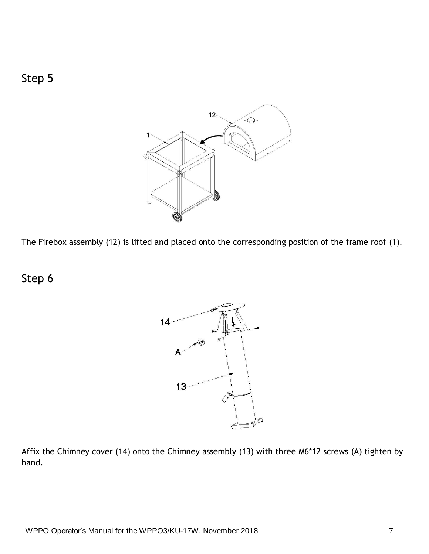

The Firebox assembly (12) is lifted and placed onto the corresponding position of the frame roof (1).

Step 6

Step 5



Affix the Chimney cover (14) onto the Chimney assembly (13) with three M6\*12 screws (A) tighten by hand.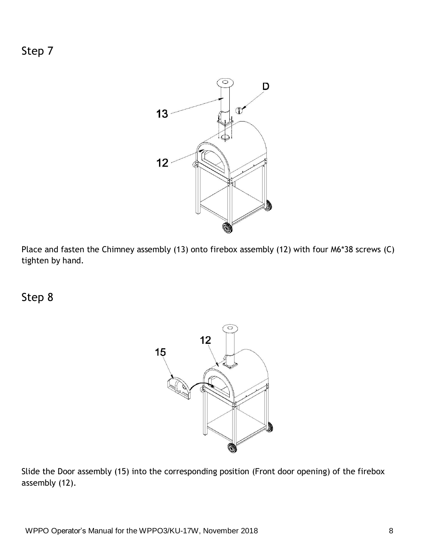Step 7



Place and fasten the Chimney assembly (13) onto firebox assembly (12) with four M6\*38 screws (C) tighten by hand.

Step 8



Slide the Door assembly (15) into the corresponding position (Front door opening) of the firebox assembly (12).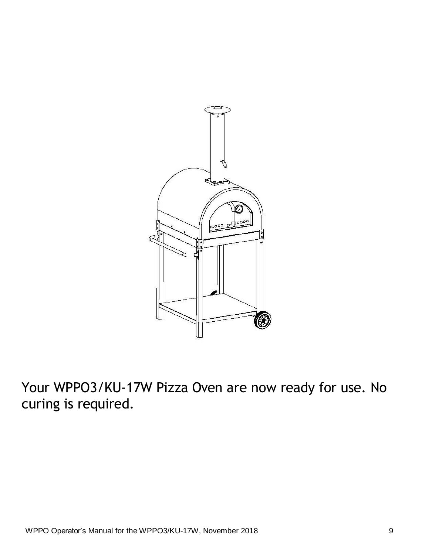

Your WPPO3/KU-17W Pizza Oven are now ready for use. No curing is required.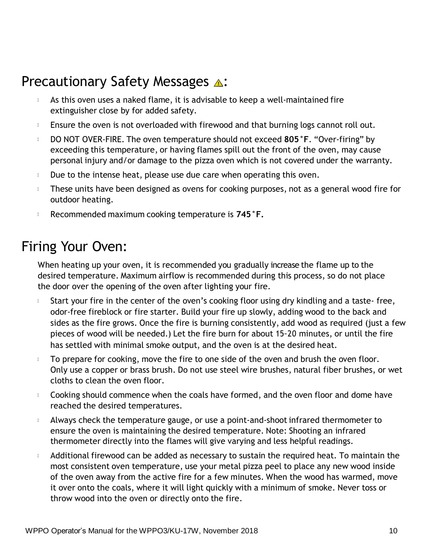# **Precautionary Safety Messages 4:**

- As this oven uses a naked flame, it is advisable to keep a well-maintained fire  $\mathbb{I}$ extinguisher close by for added safety.
- Ensure the oven is not overloaded with firewood and that burning logs cannot roll out.  $\mathbb{I}$
- DO NOT OVER-FIRE. The oven temperature should not exceed **805°F**. "Over-firing" by  $\mathbb{I}$ exceeding this temperature, or having flames spill out the front of the oven, may cause personal injury and/or damage to the pizza oven which is not covered under the warranty.
- $\mathbb{L}$ Due to the intense heat, please use due care when operating this oven.
- These units have been designed as ovens for cooking purposes, not as a general wood fire for  $\mathbb{L}$ outdoor heating.
- $\mathbb{I}$ Recommended maximum cooking temperature is **745°F.**

### Firing Your Oven:

When heating up your oven, it is recommended you gradually increase the flame up to the desired temperature. Maximum airflow is recommended during this process, so do not place the door over the opening of the oven after lighting your fire.

- Start your fire in the center of the oven's cooking floor using dry kindling and a taste- free,  $\mathbb{I}$ odor-free fireblock or fire starter. Build your fire up slowly, adding wood to the back and sides as the fire grows. Once the fire is burning consistently, add wood as required (just a few pieces of wood will be needed.) Let the fire burn for about 15−20 minutes, or until the fire has settled with minimal smoke output, and the oven is at the desired heat.
- To prepare for cooking, move the fire to one side of the oven and brush the oven floor.  $\mathbb{I}$ Only use a copper or brass brush. Do not use steel wire brushes, natural fiber brushes, or wet cloths to clean the oven floor.
- Cooking should commence when the coals have formed, and the oven floor and dome have  $\mathbf{I}$ reached the desired temperatures.
- Always check the temperature gauge, or use a point-and-shootinfrared thermometer to  $\mathbb{I}$ ensure the oven is maintaining the desired temperature. Note: Shooting an infrared thermometer directly into the flames will give varying and less helpful readings.
- Additional firewood can be added as necessary to sustain the required heat. To maintain the  $\mathbb{I}$ most consistent oven temperature, use your metal pizza peel to place any new wood inside of the oven away from the active fire for a few minutes. When the wood has warmed, move it over onto the coals, where it will light quickly with a minimum of smoke. Never toss or throw wood into the oven or directly onto the fire.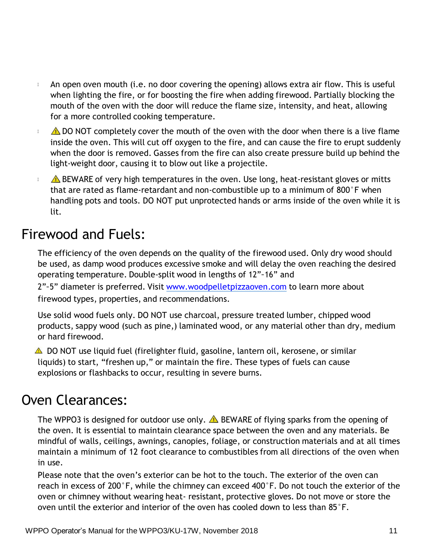- $\mathbb{I}$ An open oven mouth (i.e. no door covering the opening) allows extra air flow. This is useful when lighting the fire, or for boosting the fire when adding firewood. Partially blocking the mouth of the oven with the door will reduce the flame size, intensity, and heat, allowing for a more controlled cooking temperature.
- $\triangle$  DO NOT completely cover the mouth of the oven with the door when there is a live flame  $\mathbb{I}$ inside the oven. This will cut off oxygen to the fire, and can cause the fire to erupt suddenly when the door is removed. Gasses from the fire can also create pressure build up behind the light-weight door, causing it to blow out like a projectile.
- $\triangle$  BEWARE of very high temperatures in the oven. Use long, heat-resistant gloves or mitts  $\mathbb I$ that are rated as flame-retardant and non-combustible up to a minimum of 800°F when handling pots and tools. DO NOT put unprotected hands or arms inside of the oven while it is lit.

# Firewood and Fuels:

The efficiency of the oven depends on the quality of the firewood used. Only dry wood should be used, as damp wood produces excessive smoke and will delay the oven reaching the desired operating temperature. Double-split wood in lengths of 12"−16" and

2"−5" diameter is preferred. Visit [www.woodpelletpizzaoven.com](http://www.woodpelletpizzaoven.com/) to learn more about firewood types, properties, and recommendations.

Use solid wood fuels only. DO NOT use charcoal, pressure treated lumber, chipped wood products, sappy wood (such as pine,) laminated wood, or any material other than dry, medium or hard firewood.

 $\triangle$  DO NOT use liquid fuel (firelighter fluid, gasoline, lantern oil, kerosene, or similar liquids) to start, "freshen up," or maintain the fire. These types of fuels can cause explosions or flashbacks to occur, resulting in severe burns.

### Oven Clearances:

The WPPO3 is designed for outdoor use only.  $\triangle$  BEWARE of flying sparks from the opening of the oven. It is essential to maintain clearance space between the oven and any materials. Be mindful of walls, ceilings, awnings, canopies, foliage, or construction materials and at all times maintain a minimum of 12 foot clearance to combustibles from all directions of the oven when in use.

Please note that the oven's exterior can be hot to the touch. The exterior of the oven can reach in excess of 200°F, while the chimney can exceed 400°F. Do not touch the exterior of the oven or chimney without wearing heat- resistant, protective gloves. Do not move or store the oven until the exterior and interior of the oven has cooled down to less than 85°F.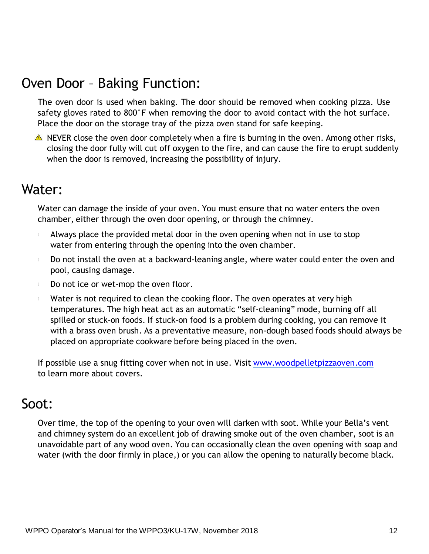# Oven Door – Baking Function:

The oven door is used when baking. The door should be removed when cooking pizza. Use safety gloves rated to 800°F when removing the door to avoid contact with the hot surface. Place the door on the storage tray of the pizza oven stand for safe keeping.

 $\triangle$  NEVER close the oven door completely when a fire is burning in the oven. Among other risks, closing the door fully will cut off oxygen to the fire, and can cause the fire to erupt suddenly when the door is removed, increasing the possibility of injury.

### Water:

Water can damage the inside of your oven. You must ensure that no water enters the oven chamber, either through the oven door opening, or through the chimney.

- Always place the provided metal door in the oven opening when not in use to stop  $\mathbb{I}$ water from entering through the opening into the oven chamber.
- Do not install the oven at a backward-leaning angle, where water could enter the oven and  $\mathbb{I}$ pool, causing damage.
- Do not ice or wet-mop the oven floor.  $\mathbb{I}$
- Water is not required to clean the cooking floor. The oven operates at very high  $\mathbb{I}$ temperatures. The high heat act as an automatic "self-cleaning" mode, burning off all spilled or stuck-on foods. If stuck-on food is a problem during cooking, you can remove it with a brass oven brush. As a preventative measure, non-dough based foods should always be placed on appropriate cookware before being placed in the oven.

If possible use a snug fitting cover when not in use. Visit [www.woodpelletpizzaoven.com](http://www.woodpelletpizzaoven.com/) to learn more about covers.

### Soot:

Over time, the top of the opening to your oven will darken with soot. While your Bella's vent and chimney system do an excellent job of drawing smoke out of the oven chamber, soot is an unavoidable part of any wood oven. You can occasionally clean the oven opening with soap and water (with the door firmly in place,) or you can allow the opening to naturally become black.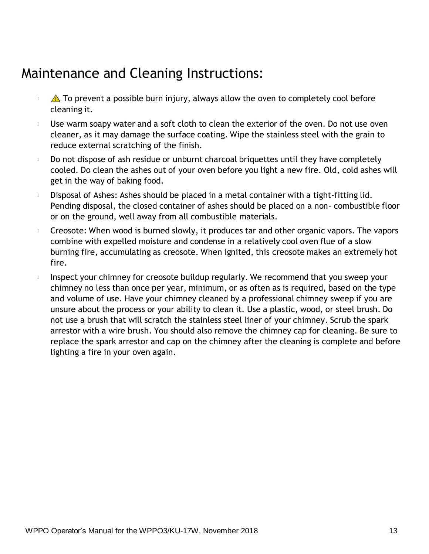## Maintenance and Cleaning Instructions:

- $\mathbb{I}$  $\triangle$  To prevent a possible burn injury, always allow the oven to completely cool before cleaning it.
- Use warm soapy water and a soft cloth to clean the exterior of the oven. Do not use oven  $\mathbb{I}$ cleaner, as it may damage the surface coating. Wipe the stainless steel with the grain to reduce external scratching of the finish.
- $\mathbb{I}$ Do not dispose of ash residue or unburnt charcoal briquettes until they have completely cooled. Do clean the ashes out of your oven before you light a new fire. Old, cold ashes will get in the way of baking food.
- $\mathbb{I}$ Disposal of Ashes: Ashes should be placed in a metal container with a tight-fitting lid. Pending disposal, the closed container of ashes should be placed on a non- combustible floor or on the ground, well away from all combustible materials.
- Creosote: When wood is burned slowly, it produces tar and other organic vapors. The vapors  $\mathbb{I}$ combine with expelled moisture and condense in a relatively cool oven flue of a slow burning fire, accumulating as creosote. When ignited, this creosote makes an extremely hot fire.
- Inspect your chimney for creosote buildup regularly. We recommend that you sweep your  $\mathbf{I}$ chimney no less than once per year, minimum, or as often as is required, based on the type and volume of use. Have your chimney cleaned by a professional chimney sweep if you are unsure about the process or your ability to clean it. Use a plastic, wood, or steel brush. Do not use a brush that will scratch the stainless steel liner of your chimney. Scrub the spark arrestor with a wire brush. You should also remove the chimney cap for cleaning. Be sure to replace the spark arrestor and cap on the chimney after the cleaning is complete and before lighting a fire in your oven again.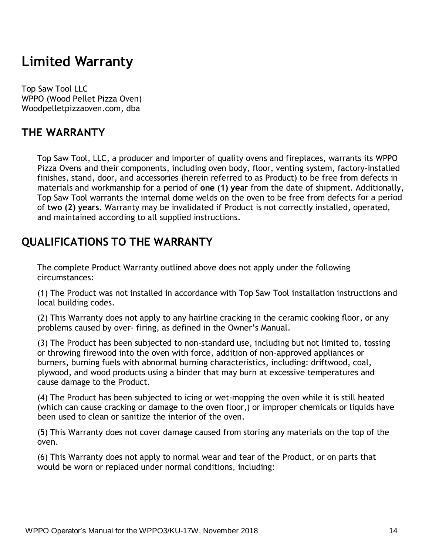## **Limited Warranty**

Top Saw Tool LLC WPPO (Wood Pellet Pizza Oven) Woodpelletpizzaoven.com, dba

### **THE WARRANTY**

Top Saw Tool, LLC, a producer and importer of quality ovens and fireplaces, warrants its WPPO Pizza Ovens and their components, including oven body, floor, venting system, factory-installed finishes, stand, door, and accessories (herein referred to as Product) to be free from defects in materials and workmanship for a period of **one (1) year** from the date of shipment. Additionally, Top Saw Tool warrants the internal dome welds on the oven to be free from defects for a period of **two (2) years**. Warranty may be invalidated if Product is not correctly installed, operated, and maintained according to all supplied instructions.

### **QUALIFICATIONS TO THE WARRANTY**

The complete Product Warranty outlined above does not apply under the following circumstances:

(1) The Product was not installed in accordance with Top Saw Tool installation instructions and local building codes.

(2) This Warranty does not apply to any hairline cracking in the ceramic cooking floor, or any problems caused by over- firing, as defined in the Owner's Manual.

(3) The Product has been subjected to non-standard use, including but not limited to, tossing or throwing firewood into the oven with force, addition of non-approved appliances or burners, burning fuels with abnormal burning characteristics, including: driftwood, coal, plywood, and wood products using a binder that may burn at excessive temperatures and cause damage to the Product.

(4) The Product has been subjected to icing or wet-mopping the oven while it is still heated (which can cause cracking or damage to the oven floor,) or improper chemicals or liquids have been used to clean or sanitize the interior of the oven.

(5) This Warranty does not cover damage caused from storing any materials on the top of the oven.

(6) This Warranty does not apply to normal wear and tear of the Product, or on parts that would be worn or replaced under normal conditions, including: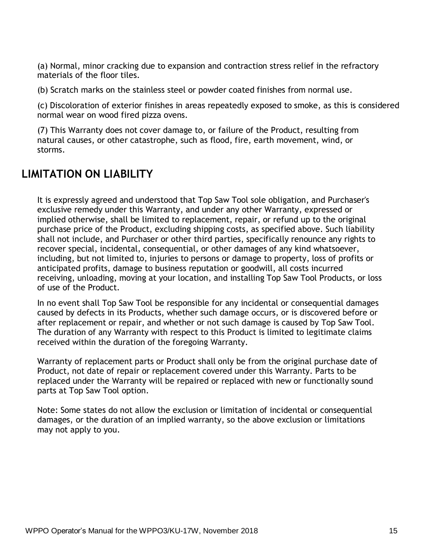(a) Normal, minor cracking due to expansion and contraction stress relief in the refractory materials of the floor tiles.

(b) Scratch marks on the stainless steel or powder coated finishes from normal use.

(c) Discoloration of exterior finishes in areas repeatedly exposed to smoke, as this is considered normal wear on wood fired pizza ovens.

(7) This Warranty does not cover damage to, or failure of the Product, resulting from natural causes, or other catastrophe, such as flood, fire, earth movement, wind, or storms.

#### **LIMITATION ON LIABILITY**

It is expressly agreed and understood that Top Saw Tool sole obligation, and Purchaser's exclusive remedy under this Warranty, and under any other Warranty, expressed or implied otherwise, shall be limited to replacement, repair, or refund up to the original purchase price of the Product, excluding shipping costs, as specified above. Such liability shall not include, and Purchaser or other third parties, specifically renounce any rights to recover special, incidental, consequential, or other damages of any kind whatsoever, including, but not limited to, injuries to persons or damage to property, loss of profits or anticipated profits, damage to business reputation or goodwill, all costs incurred receiving, unloading, moving at your location, and installing Top Saw Tool Products, or loss of use of the Product.

In no event shall Top Saw Tool be responsible for any incidental or consequential damages caused by defects in its Products, whether such damage occurs, or is discovered before or after replacement or repair, and whether or not such damage is caused by Top Saw Tool. The duration of any Warranty with respect to this Product is limited to legitimate claims received within the duration of the foregoing Warranty.

Warranty of replacement parts or Product shall only be from the original purchase date of Product, not date of repair or replacement covered under this Warranty. Parts to be replaced under the Warranty will be repaired or replaced with new or functionally sound parts at Top Saw Tool option.

Note: Some states do not allow the exclusion or limitation of incidental or consequential damages, or the duration of an implied warranty, so the above exclusion or limitations may not apply to you.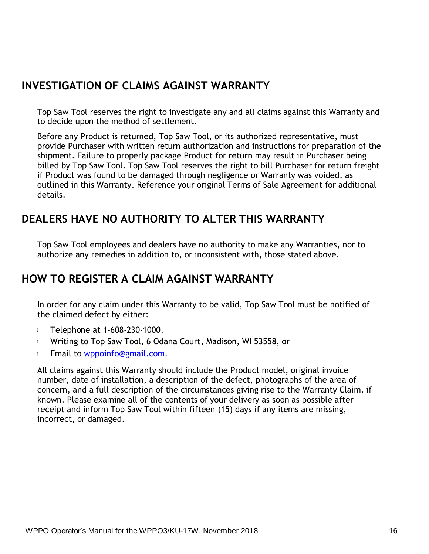### **INVESTIGATION OF CLAIMS AGAINST WARRANTY**

Top Saw Tool reserves the right to investigate any and all claims against this Warranty and to decide upon the method of settlement.

Before any Product is returned, Top Saw Tool, or its authorized representative, must provide Purchaser with written return authorization and instructions for preparation of the shipment. Failure to properly package Product for return may result in Purchaser being billed by Top Saw Tool. Top Saw Tool reserves the right to bill Purchaser for return freight if Product was found to be damaged through negligence or Warranty was voided, as outlined in this Warranty. Reference your original Terms of Sale Agreement for additional details.

### **DEALERS HAVE NO AUTHORITY TO ALTER THIS WARRANTY**

Top Saw Tool employees and dealers have no authority to make any Warranties, nor to authorize any remedies in addition to, or inconsistent with, those stated above.

### **HOW TO REGISTER A CLAIM AGAINST WARRANTY**

In order for any claim under this Warranty to be valid, Top Saw Tool must be notified of the claimed defect by either:

- I. Telephone at 1-608-230-1000,
- Writing to Top Saw Tool, 6 Odana Court, Madison, WI 53558, or I.
- Email to [wppoinfo@gmail.com.](mailto:wppoinfo@gmail.com.)  $\mathbb{L}$

All claims against this Warranty should include the Product model, original invoice number, date of installation, a description of the defect, photographs of the area of concern, and a full description of the circumstances giving rise to the Warranty Claim, if known. Please examine all of the contents of your delivery as soon as possible after receipt and inform Top Saw Tool within fifteen (15) days if any items are missing, incorrect, or damaged.